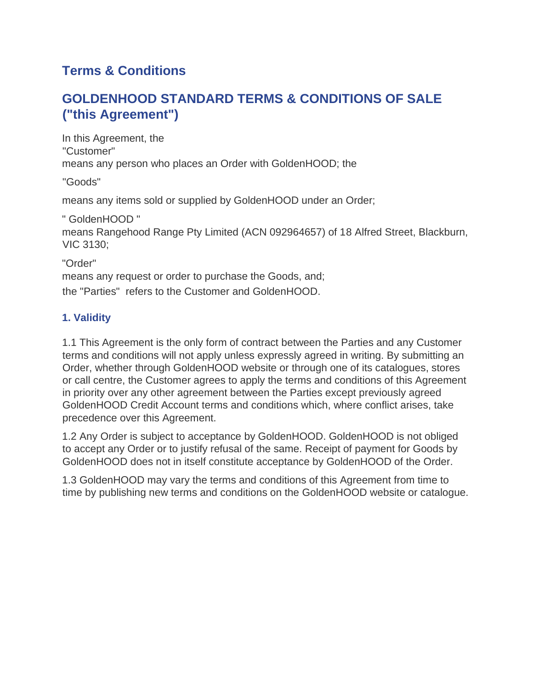# **Terms & Conditions**

# **GOLDENHOOD STANDARD TERMS & CONDITIONS OF SALE ("this Agreement")**

In this Agreement, the "Customer" means any person who places an Order with GoldenHOOD; the

"Goods"

means any items sold or supplied by GoldenHOOD under an Order;

" GoldenHOOD "

means Rangehood Range Pty Limited (ACN 092964657) of 18 Alfred Street, Blackburn, VIC 3130;

"Order" means any request or order to purchase the Goods, and; the "Parties" refers to the Customer and GoldenHOOD.

## **1. Validity**

1.1 This Agreement is the only form of contract between the Parties and any Customer terms and conditions will not apply unless expressly agreed in writing. By submitting an Order, whether through GoldenHOOD website or through one of its catalogues, stores or call centre, the Customer agrees to apply the terms and conditions of this Agreement in priority over any other agreement between the Parties except previously agreed GoldenHOOD Credit Account terms and conditions which, where conflict arises, take precedence over this Agreement.

1.2 Any Order is subject to acceptance by GoldenHOOD. GoldenHOOD is not obliged to accept any Order or to justify refusal of the same. Receipt of payment for Goods by GoldenHOOD does not in itself constitute acceptance by GoldenHOOD of the Order.

1.3 GoldenHOOD may vary the terms and conditions of this Agreement from time to time by publishing new terms and conditions on the GoldenHOOD website or catalogue.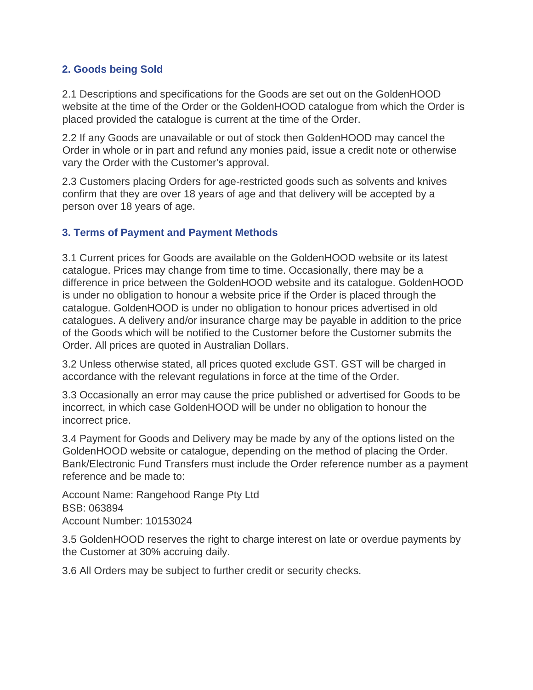### **2. Goods being Sold**

2.1 Descriptions and specifications for the Goods are set out on the GoldenHOOD website at the time of the Order or the GoldenHOOD catalogue from which the Order is placed provided the catalogue is current at the time of the Order.

2.2 If any Goods are unavailable or out of stock then GoldenHOOD may cancel the Order in whole or in part and refund any monies paid, issue a credit note or otherwise vary the Order with the Customer's approval.

2.3 Customers placing Orders for age-restricted goods such as solvents and knives confirm that they are over 18 years of age and that delivery will be accepted by a person over 18 years of age.

### **3. Terms of Payment and Payment Methods**

3.1 Current prices for Goods are available on the GoldenHOOD website or its latest catalogue. Prices may change from time to time. Occasionally, there may be a difference in price between the GoldenHOOD website and its catalogue. GoldenHOOD is under no obligation to honour a website price if the Order is placed through the catalogue. GoldenHOOD is under no obligation to honour prices advertised in old catalogues. A delivery and/or insurance charge may be payable in addition to the price of the Goods which will be notified to the Customer before the Customer submits the Order. All prices are quoted in Australian Dollars.

3.2 Unless otherwise stated, all prices quoted exclude GST. GST will be charged in accordance with the relevant regulations in force at the time of the Order.

3.3 Occasionally an error may cause the price published or advertised for Goods to be incorrect, in which case GoldenHOOD will be under no obligation to honour the incorrect price.

3.4 Payment for Goods and Delivery may be made by any of the options listed on the GoldenHOOD website or catalogue, depending on the method of placing the Order. Bank/Electronic Fund Transfers must include the Order reference number as a payment reference and be made to:

Account Name: Rangehood Range Pty Ltd BSB: 063894 Account Number: 10153024

3.5 GoldenHOOD reserves the right to charge interest on late or overdue payments by the Customer at 30% accruing daily.

3.6 All Orders may be subject to further credit or security checks.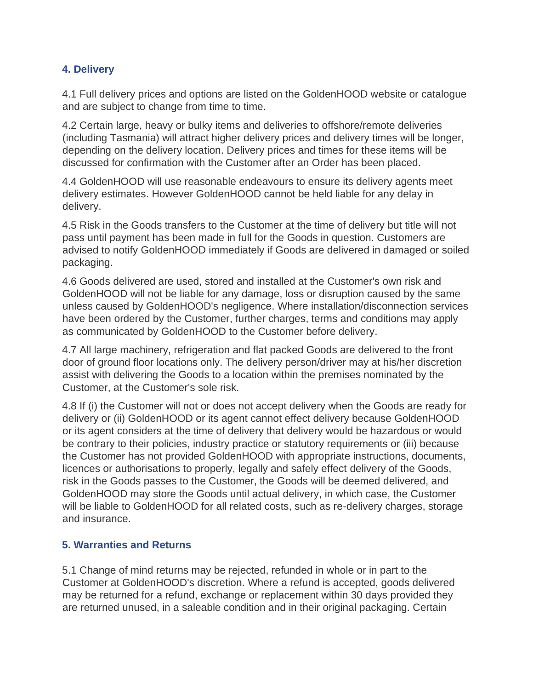### **4. Delivery**

4.1 Full delivery prices and options are listed on the GoldenHOOD website or catalogue and are subject to change from time to time.

4.2 Certain large, heavy or bulky items and deliveries to offshore/remote deliveries (including Tasmania) will attract higher delivery prices and delivery times will be longer, depending on the delivery location. Delivery prices and times for these items will be discussed for confirmation with the Customer after an Order has been placed.

4.4 GoldenHOOD will use reasonable endeavours to ensure its delivery agents meet delivery estimates. However GoldenHOOD cannot be held liable for any delay in delivery.

4.5 Risk in the Goods transfers to the Customer at the time of delivery but title will not pass until payment has been made in full for the Goods in question. Customers are advised to notify GoldenHOOD immediately if Goods are delivered in damaged or soiled packaging.

4.6 Goods delivered are used, stored and installed at the Customer's own risk and GoldenHOOD will not be liable for any damage, loss or disruption caused by the same unless caused by GoldenHOOD's negligence. Where installation/disconnection services have been ordered by the Customer, further charges, terms and conditions may apply as communicated by GoldenHOOD to the Customer before delivery.

4.7 All large machinery, refrigeration and flat packed Goods are delivered to the front door of ground floor locations only. The delivery person/driver may at his/her discretion assist with delivering the Goods to a location within the premises nominated by the Customer, at the Customer's sole risk.

4.8 If (i) the Customer will not or does not accept delivery when the Goods are ready for delivery or (ii) GoldenHOOD or its agent cannot effect delivery because GoldenHOOD or its agent considers at the time of delivery that delivery would be hazardous or would be contrary to their policies, industry practice or statutory requirements or (iii) because the Customer has not provided GoldenHOOD with appropriate instructions, documents, licences or authorisations to properly, legally and safely effect delivery of the Goods, risk in the Goods passes to the Customer, the Goods will be deemed delivered, and GoldenHOOD may store the Goods until actual delivery, in which case, the Customer will be liable to GoldenHOOD for all related costs, such as re-delivery charges, storage and insurance.

### **5. Warranties and Returns**

5.1 Change of mind returns may be rejected, refunded in whole or in part to the Customer at GoldenHOOD's discretion. Where a refund is accepted, goods delivered may be returned for a refund, exchange or replacement within 30 days provided they are returned unused, in a saleable condition and in their original packaging. Certain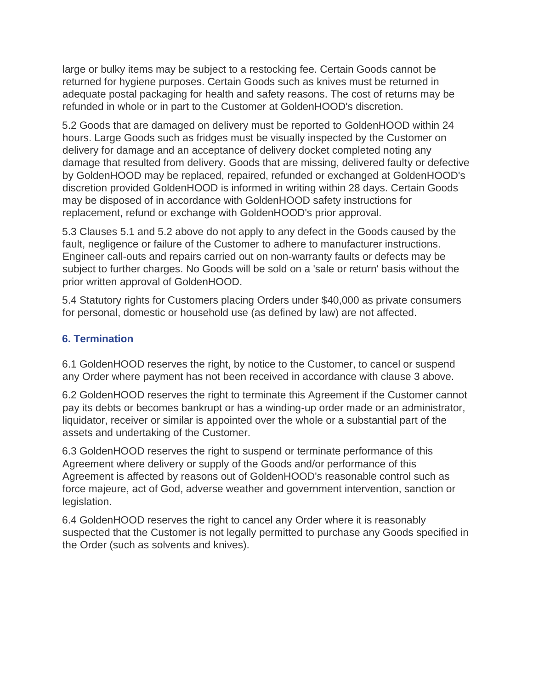large or bulky items may be subject to a restocking fee. Certain Goods cannot be returned for hygiene purposes. Certain Goods such as knives must be returned in adequate postal packaging for health and safety reasons. The cost of returns may be refunded in whole or in part to the Customer at GoldenHOOD's discretion.

5.2 Goods that are damaged on delivery must be reported to GoldenHOOD within 24 hours. Large Goods such as fridges must be visually inspected by the Customer on delivery for damage and an acceptance of delivery docket completed noting any damage that resulted from delivery. Goods that are missing, delivered faulty or defective by GoldenHOOD may be replaced, repaired, refunded or exchanged at GoldenHOOD's discretion provided GoldenHOOD is informed in writing within 28 days. Certain Goods may be disposed of in accordance with GoldenHOOD safety instructions for replacement, refund or exchange with GoldenHOOD's prior approval.

5.3 Clauses 5.1 and 5.2 above do not apply to any defect in the Goods caused by the fault, negligence or failure of the Customer to adhere to manufacturer instructions. Engineer call-outs and repairs carried out on non-warranty faults or defects may be subject to further charges. No Goods will be sold on a 'sale or return' basis without the prior written approval of GoldenHOOD.

5.4 Statutory rights for Customers placing Orders under \$40,000 as private consumers for personal, domestic or household use (as defined by law) are not affected.

## **6. Termination**

6.1 GoldenHOOD reserves the right, by notice to the Customer, to cancel or suspend any Order where payment has not been received in accordance with clause 3 above.

6.2 GoldenHOOD reserves the right to terminate this Agreement if the Customer cannot pay its debts or becomes bankrupt or has a winding-up order made or an administrator, liquidator, receiver or similar is appointed over the whole or a substantial part of the assets and undertaking of the Customer.

6.3 GoldenHOOD reserves the right to suspend or terminate performance of this Agreement where delivery or supply of the Goods and/or performance of this Agreement is affected by reasons out of GoldenHOOD's reasonable control such as force majeure, act of God, adverse weather and government intervention, sanction or legislation.

6.4 GoldenHOOD reserves the right to cancel any Order where it is reasonably suspected that the Customer is not legally permitted to purchase any Goods specified in the Order (such as solvents and knives).